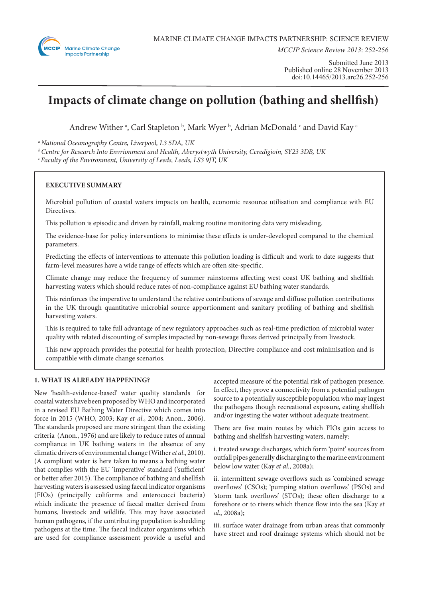

*MCCIP Science Review 2013*: 252-256

# **Impacts of climate change on pollution (bathing and shellfish)**

Andrew Wither a, Carl Stapleton b, Mark Wyer b, Adrian McDonald  $\circ$  and David Kay  $\circ$ 

*a National Oceanography Centre, Liverpool, L3 5DA, UK*

*b Centre for Research Into Envrionment and Health, Aberystwyth University, Ceredigioin, SY23 3DB, UK*

*c Faculty of the Environment, University of Leeds, Leeds, LS3 9JT, UK*

# **EXECUTIVE SUMMARY**

Microbial pollution of coastal waters impacts on health, economic resource utilisation and compliance with EU Directives.

This pollution is episodic and driven by rainfall, making routine monitoring data very misleading.

The evidence-base for policy interventions to minimise these effects is under-developed compared to the chemical parameters.

Predicting the effects of interventions to attenuate this pollution loading is difficult and work to date suggests that farm-level measures have a wide range of effects which are often site-specific.

Climate change may reduce the frequency of summer rainstorms affecting west coast UK bathing and shellfish harvesting waters which should reduce rates of non-compliance against EU bathing water standards.

This reinforces the imperative to understand the relative contributions of sewage and diffuse pollution contributions in the UK through quantitative microbial source apportionment and sanitary profiling of bathing and shellfish harvesting waters.

This is required to take full advantage of new regulatory approaches such as real-time prediction of microbial water quality with related discounting of samples impacted by non-sewage fluxes derived principally from livestock.

This new approach provides the potential for health protection, Directive compliance and cost minimisation and is compatible with climate change scenarios.

# **1. WHAT IS ALREADY HAPPENING?**

New 'health-evidence-based' water quality standards for coastal waters have been proposed by WHO and incorporated in a revised EU Bathing Water Directive which comes into force in 2015 (WHO, 2003; Kay *et al*., 2004; Anon., 2006). The standards proposed are more stringent than the existing criteria (Anon., 1976) and are likely to reduce rates of annual compliance in UK bathing waters in the absence of any climatic drivers of environmental change (Wither *et al*., 2010). (A compliant water is here taken to means a bathing water that complies with the EU 'imperative' standard ('sufficient' or better after 2015). The compliance of bathing and shellfish harvesting waters is assessed using faecal indicator organisms (FIOs) (principally coliforms and enterococci bacteria) which indicate the presence of faecal matter derived from humans, livestock and wildlife. This may have associated human pathogens, if the contributing population is shedding pathogens at the time. The faecal indicator organisms which are used for compliance assessment provide a useful and

accepted measure of the potential risk of pathogen presence. In effect, they prove a connectivity from a potential pathogen source to a potentially susceptible population who may ingest the pathogens though recreational exposure, eating shellfish and/or ingesting the water without adequate treatment.

There are five main routes by which FIOs gain access to bathing and shellfish harvesting waters, namely:

i. treated sewage discharges, which form 'point' sources from outfall pipes generally discharging to the marine environment below low water (Kay *et al*., 2008a);

ii. intermittent sewage overflows such as 'combined sewage overflows' (CSOs); 'pumping station overflows' (PSOs) and 'storm tank overflows' (STOs); these often discharge to a foreshore or to rivers which thence flow into the sea (Kay *et al*., 2008a);

iii. surface water drainage from urban areas that commonly have street and roof drainage systems which should not be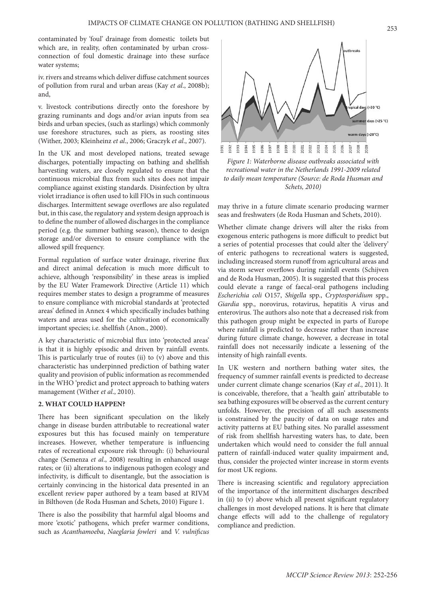contaminated by 'foul' drainage from domestic toilets but which are, in reality, often contaminated by urban crossconnection of foul domestic drainage into these surface water systems;

iv. rivers and streams which deliver diffuse catchment sources of pollution from rural and urban areas (Kay *et al*., 2008b); and,

v. livestock contributions directly onto the foreshore by grazing ruminants and dogs and/or avian inputs from sea birds and urban species, (such as starlings) which commonly use foreshore structures, such as piers, as roosting sites (Wither, 2003; Kleinheinz *et al*., 2006; Graczyk *et al*., 2007).

In the UK and most developed nations, treated sewage discharges, potentially impacting on bathing and shellfish harvesting waters, are closely regulated to ensure that the continuous microbial flux from such sites does not impair compliance against existing standards. Disinfection by ultra violet irradiance is often used to kill FIOs in such continuous discharges. Intermittent sewage overflows are also regulated but, in this case, the regulatory and system design approach is to define the number of allowed discharges in the compliance period (e.g. the summer bathing season), thence to design storage and/or diversion to ensure compliance with the allowed spill frequency.

Formal regulation of surface water drainage, riverine flux and direct animal defecation is much more difficult to achieve, although 'responsibility' in these areas is implied by the EU Water Framework Directive (Article 11) which requires member states to design a programme of measures to ensure compliance with microbial standards at 'protected areas' defined in Annex 4 which specifically includes bathing waters and areas used for the cultivation of economically important species; i.e. shellfish (Anon., 2000).

A key characteristic of microbial flux into 'protected areas' is that it is highly episodic and driven by rainfall events. This is particularly true of routes (ii) to (v) above and this characteristic has underpinned prediction of bathing water quality and provision of public information as recommended in the WHO 'predict and protect approach to bathing waters management (Wither *et al*., 2010).

#### **2. WHAT COULD HAPPEN?**

There has been significant speculation on the likely change in disease burden attributable to recreational water exposures but this has focused mainly on temperature increases. However, whether temperature is influencing rates of recreational exposure risk through: (i) behavioural change (Semenza *et al*., 2008) resulting in enhanced usage rates; or (ii) alterations to indigenous pathogen ecology and infectivity, is difficult to disentangle, but the association is certainly convincing in the historical data presented in an excellent review paper authored by a team based at RIVM in Bilthoven (de Roda Husman and Schets, 2010) Figure 1.

There is also the possibility that harmful algal blooms and more 'exotic' pathogens, which prefer warmer conditions, such as *Acanthamoeba*, *Naeglaria fowleri* and *V. vulnificus* 



*Figure 1: Waterborne disease outbreaks associated with recreational water in the Netherlands 1991-2009 related to daily mean temperature (Source: de Roda Husman and Schets, 2010)*

may thrive in a future climate scenario producing warmer seas and freshwaters (de Roda Husman and Schets, 2010).

Whether climate change drivers will alter the risks from exogenous enteric pathogens is more difficult to predict but a series of potential processes that could alter the 'delivery' of enteric pathogens to recreational waters is suggested, including increased storm runoff from agricultural areas and via storm sewer overflows during rainfall events (Schijven and de Roda Husman, 2005). It is suggested that this process could elevate a range of faecal-oral pathogens including *Escherichia coli* O157, *Shigella* spp., *Cryptosporidium* spp., *Giardia* spp., norovirus, rotavirus, hepatitis A virus and enterovirus. The authors also note that a decreased risk from this pathogen group might be expected in parts of Europe where rainfall is predicted to decrease rather than increase during future climate change, however, a decrease in total rainfall does not necessarily indicate a lessening of the intensity of high rainfall events.

In UK western and northern bathing water sites, the frequency of summer rainfall events is predicted to decrease under current climate change scenarios (Kay *et al*., 2011). It is conceivable, therefore, that a 'health gain' attributable to sea bathing exposures will be observed as the current century unfolds. However, the precision of all such assessments is constrained by the paucity of data on usage rates and activity patterns at EU bathing sites. No parallel assessment of risk from shellfish harvesting waters has, to date, been undertaken which would need to consider the full annual pattern of rainfall-induced water quality impairment and, thus, consider the projected winter increase in storm events for most UK regions.

There is increasing scientific and regulatory appreciation of the importance of the intermittent discharges described in (ii) to (v) above which all present significant regulatory challenges in most developed nations. It is here that climate change effects will add to the challenge of regulatory compliance and prediction.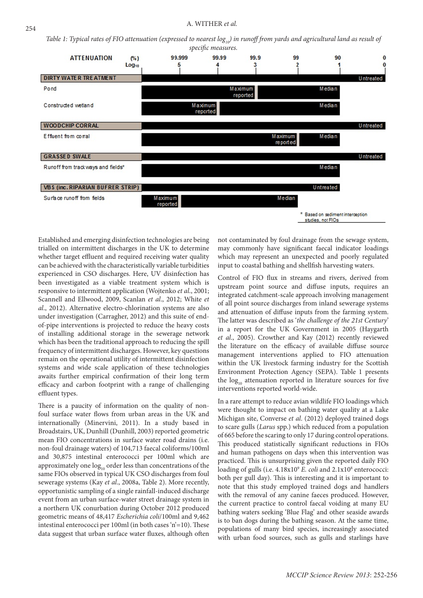*Table 1: Typical rates of FIO attenuation (expressed to nearest log<sub>10</sub>) in runoff from yards and agricultural land as result of specific measures.*



Established and emerging disinfection technologies are being trialled on intermittent discharges in the UK to determine whether target effluent and required receiving water quality can be achieved with the characteristically variable turbidities experienced in CSO discharges. Here, UV disinfection has been investigated as a viable treatment system which is responsive to intermittent application (Wojtenko *et al*., 2001; Scannell and Ellwood, 2009, Scanlan *et al*., 2012; White *et al*., 2012). Alternative electro-chlorination systems are also under investigation (Carragher, 2012) and this suite of endof-pipe interventions is projected to reduce the heavy costs of installing additional storage in the sewerage network which has been the traditional approach to reducing the spill frequency of intermittent discharges. However, key questions remain on the operational utility of intermittent disinfection systems and wide scale application of these technologies awaits further empirical confirmation of their long term efficacy and carbon footprint with a range of challenging effluent types.

There is a paucity of information on the quality of nonfoul surface water flows from urban areas in the UK and internationally (Minervini, 2011). In a study based in Broadstairs, UK, Dunhill (Dunhill, 2003) reported geometric mean FIO concentrations in surface water road drains (i.e. non-foul drainage waters) of 104,713 faecal coliforms/100ml and 30,875 intestinal enterococci per 100ml which are approximately one  $log_{10}$  order less than concentrations of the same FIOs observed in typical UK CSO discharges from foul sewerage systems (Kay *et al*., 2008a, Table 2). More recently, opportunistic sampling of a single rainfall-induced discharge event from an urban surface-water street drainage system in a northern UK conurbation during October 2012 produced geometric means of 48,417 *Escherichia coli*/100ml and 9,462 intestinal enterococci per 100ml (in both cases 'n'=10). These data suggest that urban surface water fluxes, although often

not contaminated by foul drainage from the sewage system, may commonly have significant faecal indicator loadings which may represent an unexpected and poorly regulated input to coastal bathing and shellfish harvesting waters.

Control of FIO flux in streams and rivers, derived from upstream point source and diffuse inputs, requires an integrated catchment-scale approach involving management of all point source discharges from inland sewerage systems and attenuation of diffuse inputs from the farming system. The latter was described as '*the challenge of the 21st Century*' in a report for the UK Government in 2005 (Haygarth *et al*., 2005). Crowther and Kay (2012) recently reviewed the literature on the efficacy of available diffuse source management interventions applied to FIO attenuation within the UK livestock farming industry for the Scottish Environment Protection Agency (SEPA). Table 1 presents the  $log_{10}$  attenuation reported in literature sources for five interventions reported world-wide.

In a rare attempt to reduce avian wildlife FIO loadings which were thought to impact on bathing water quality at a Lake Michigan site, Converse *et al*. (2012) deployed trained dogs to scare gulls (*Larus* spp.) which reduced from a population of 665 before the scaring to only 17 during control operations. This produced statistically significant reductions in FIOs and human pathogens on days when this intervention was practiced. This is unsurprising given the reported daily FIO loading of gulls (i.e.  $4.18x10^9$  E. coli and  $2.1x10^8$  enterococci: both per gull day). This is interesting and it is important to note that this study employed trained dogs and handlers with the removal of any canine faeces produced. However, the current practice to control faecal voiding at many EU bathing waters seeking 'Blue Flag' and other seaside awards is to ban dogs during the bathing season. At the same time, populations of many bird species, increasingly associated with urban food sources, such as gulls and starlings have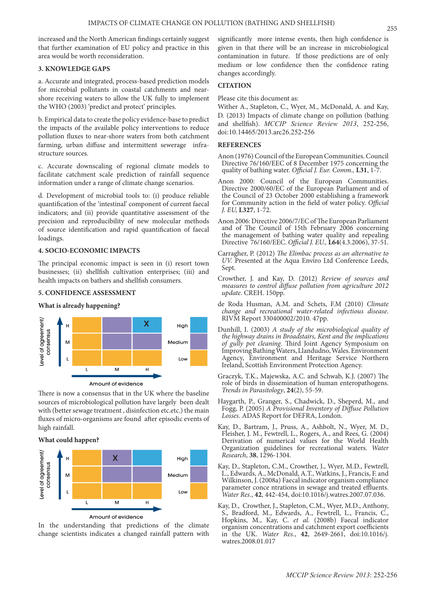increased and the North American findings certainly suggest that further examination of EU policy and practice in this area would be worth reconsideration.

# **3. KNOWLEDGE GAPS**

a. Accurate and integrated, process-based prediction models for microbial pollutants in coastal catchments and nearshore receiving waters to allow the UK fully to implement the WHO (2003) 'predict and protect' principles.

b. Empirical data to create the policy evidence-base to predict the impacts of the available policy interventions to reduce pollution fluxes to near-shore waters from both catchment farming, urban diffuse and intermittent sewerage infrastructure sources.

c. Accurate downscaling of regional climate models to facilitate catchment scale prediction of rainfall sequence information under a range of climate change scenarios.

d. Development of microbial tools to: (i) produce reliable quantification of the 'intestinal' component of current faecal indicators; and (ii) provide quantitative assessment of the precision and reproducibility of new molecular methods of source identification and rapid quantification of faecal loadings.

#### **4. SOCIO-ECONOMIC IMPACTS**

The principal economic impact is seen in (i) resort town businesses; (ii) shellfish cultivation enterprises; (iii) and health impacts on bathers and shellfish consumers.

#### **5. CONFIDENCE ASSESSMENT**

**What is already happening?** 



Amount of evidence

There is now a consensus that in the UK where the baseline sources of microbiological pollution have largely been dealt with (better sewage treatment , disinfection etc.etc.) the main fluxes of micro-organisms are found after episodic events of high rainfall.

# **What could happen?**



Amount of evidence

In the understanding that predictions of the climate change scientists indicates a changed rainfall pattern with

significantly more intense events, then high confidence is given in that there will be an increase in microbiological contamination in future. If those predictions are of only medium or low confidence then the confidence rating changes accordingly.

# **CITATION**

Please cite this document as:

Wither A., Stapleton, C., Wyer, M., McDonald, A. and Kay, D. (2013) Impacts of climate change on pollution (bathing and shellfish). *MCCIP Science Review 2013*, 252-256, doi:10.14465/2013.arc26.252-256

#### **REFERENCES**

- Anon (1976) Council of the European Communities. Council Directive 76/160/EEC of 8 December 1975 concerning the quality of bathing water. *Official J. Eur. Comm.,* **L31**, 1-7.
- Anon 2000: Council of the European Communities. Directive 2000/60/EC of the European Parliament and of the Council of 23 October 2000 establishing a framework for Community action in the field of water policy. *Official J. EU,* **L327**, 1-72.
- Anon 2006: Directive 2006/7/EC of The European Parliament and of The Council of 15th February 2006 concerning the management of bathing water quality and repealing Directive 76/160/EEC. *Official J. EU.,* **L64**(4.3.2006), 37-51.
- Carragher, P. (2012) *The Elimbac process as an alternative to UV.* Presented at the Aqua Enviro Ltd Conference Leeds, Sept.
- Crowther, J. and Kay, D. (2012) *Review of sources and measures to control diffuse pollution from agriculture 2012 update*. CREH. 150pp.
- de Roda Husman, A.M. and Schets, F.M (2010) *Climate change and recreational water-related infectious disease*. RIVM Report 330400002/2010. 47pp.
- Dunhill, I. (2003) *A study of the microbiological quality of the highway drains in Broadstairs, Kent and the implications of gully pot cleaning.* Third Joint Agency Symposium on Improving Bathing Waters, Llandudno, Wales. Environment Agency, Environment and Heritage Service Northern Ireland, Scottish Environment Protection Agency.
- Graczyk, T.K., Majewska, A.C. and Schwab, K.J. (2007) The role of birds in dissemination of human enteropathogens. *Trends in Parasitology*, **24**(2), 55-59.
- Haygarth, P., Granger, S., Chadwick, D., Sheperd, M., and Fogg, P. (2005) *A Provisional Inventory of Diffuse Pollution Losses*. ADAS Report for DEFRA, London.
- Kay, D., Bartram, J., Pruss, A., Ashbolt, N., Wyer, M. D., Fleisher, J. M., Fewtrell, L., Rogers, A., and Rees, G. (2004) Derivation of numerical values for the World Health Organization guidelines for recreational waters. *Water Research*, **38**, 1296-1304.
- Kay, D., Stapleton, C.M., Crowther, J., Wyer, M.D., Fewtrell, L., Edwards, A., McDonald, A.T., Watkins, J., Francis, F. and Wilkinson, J. (2008a) Faecal indicator organism compliance parameter conce ntrations in sewage and treated effluents. *Water Res.*, **42**, 442-454, doi:10.1016/j.watres.2007.07.036.
- Kay, D., Crowther, J., Stapleton, C.M., Wyer, M.D., Anthony, S., Bradford, M., Edwards, A., Fewtrell, L., Francis, C., Hopkins, M., Kay, C. *et al.* (2008b) Faecal indicator organism concentrations and catchment export coefficients in the UK. *Water Res.*, **42**, 2649-2661, doi:10.1016/j. watres. 2008.01.017